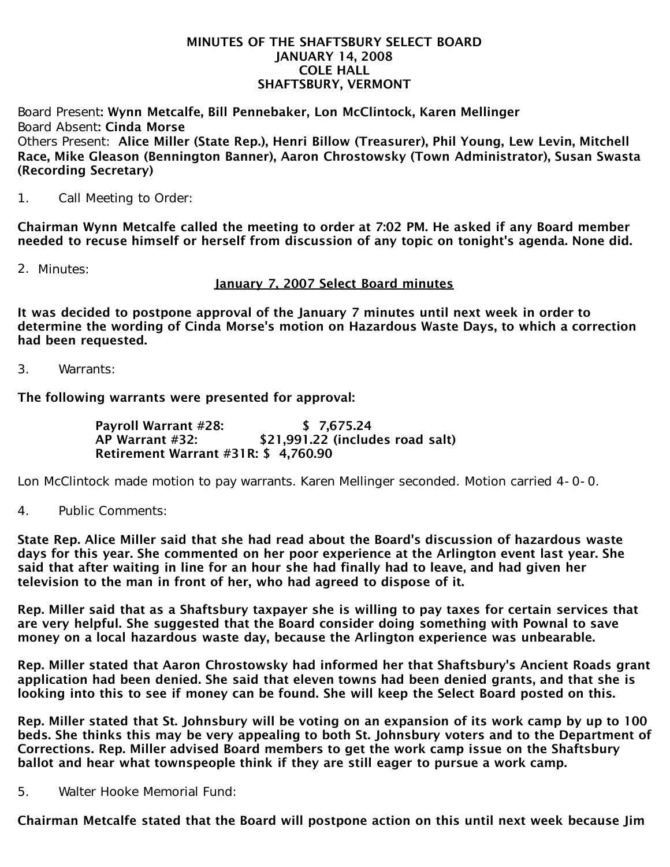## MINUTES OF THE SHAFTSBURY SELECT BOARD JANUARY 14, 2008 COLE HALL SHAFTSBURY, VERMONT

Board Present: Wynn Metcalfe, Bill Pennebaker, Lon McClintock, Karen Mellinger Board Absent: Cinda Morse Others Present: Alice Miller (State Rep.), Henri Billow (Treasurer), Phil Young, Lew Levin, Mitchell Race, Mike Gleason (Bennington Banner), Aaron Chrostowsky (Town Administrator), Susan Swasta (Recording Secretary)

1. Call Meeting to Order:

Chairman Wynn Metcalfe called the meeting to order at 7:02 PM. He asked if any Board member needed to recuse himself or herself from discussion of any topic on tonight's agenda. None did.

2. Minutes:

January 7, 2007 Select Board minutes

It was decided to postpone approval of the January 7 minutes until next week in order to determine the wording of Cinda Morse's motion on Hazardous Waste Days, to which a correction had been requested.

3. Warrants:

The following warrants were presented for approval:

 Payroll Warrant #28: \$ 7,675.24 AP Warrant #32: \$21,991.22 (includes road salt) Retirement Warrant #31R: \$ 4,760.90

Lon McClintock made motion to pay warrants. Karen Mellinger seconded. Motion carried 4-0-0.

4. Public Comments:

State Rep. Alice Miller said that she had read about the Board's discussion of hazardous waste days for this year. She commented on her poor experience at the Arlington event last year. She said that after waiting in line for an hour she had finally had to leave, and had given her television to the man in front of her, who had agreed to dispose of it.

Rep. Miller said that as a Shaftsbury taxpayer she is willing to pay taxes for certain services that are very helpful. She suggested that the Board consider doing something with Pownal to save money on a local hazardous waste day, because the Arlington experience was unbearable.

Rep. Miller stated that Aaron Chrostowsky had informed her that Shaftsbury's Ancient Roads grant application had been denied. She said that eleven towns had been denied grants, and that she is looking into this to see if money can be found. She will keep the Select Board posted on this.

Rep. Miller stated that St. Johnsbury will be voting on an expansion of its work camp by up to 100 beds. She thinks this may be very appealing to both St. Johnsbury voters and to the Department of Corrections. Rep. Miller advised Board members to get the work camp issue on the Shaftsbury ballot and hear what townspeople think if they are still eager to pursue a work camp.

5. Walter Hooke Memorial Fund:

Chairman Metcalfe stated that the Board will postpone action on this until next week because Jim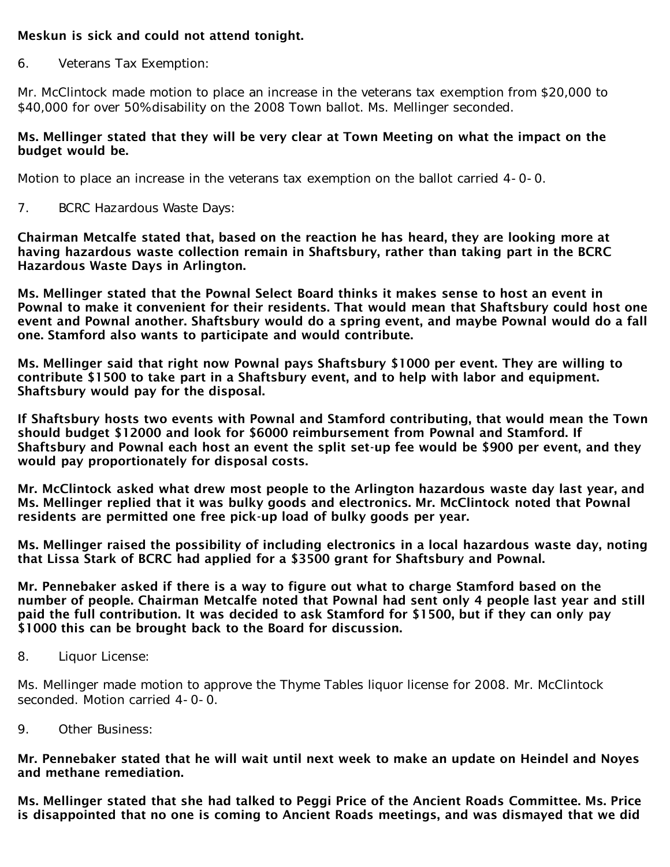## Meskun is sick and could not attend tonight.

6. Veterans Tax Exemption:

Mr. McClintock made motion to place an increase in the veterans tax exemption from \$20,000 to \$40,000 for over 50% disability on the 2008 Town ballot. Ms. Mellinger seconded.

## Ms. Mellinger stated that they will be very clear at Town Meeting on what the impact on the budget would be.

Motion to place an increase in the veterans tax exemption on the ballot carried 4-0-0.

7. BCRC Hazardous Waste Days:

Chairman Metcalfe stated that, based on the reaction he has heard, they are looking more at having hazardous waste collection remain in Shaftsbury, rather than taking part in the BCRC Hazardous Waste Days in Arlington.

Ms. Mellinger stated that the Pownal Select Board thinks it makes sense to host an event in Pownal to make it convenient for their residents. That would mean that Shaftsbury could host one event and Pownal another. Shaftsbury would do a spring event, and maybe Pownal would do a fall one. Stamford also wants to participate and would contribute.

Ms. Mellinger said that right now Pownal pays Shaftsbury \$1000 per event. They are willing to contribute \$1500 to take part in a Shaftsbury event, and to help with labor and equipment. Shaftsbury would pay for the disposal.

If Shaftsbury hosts two events with Pownal and Stamford contributing, that would mean the Town should budget \$12000 and look for \$6000 reimbursement from Pownal and Stamford. If Shaftsbury and Pownal each host an event the split set-up fee would be \$900 per event, and they would pay proportionately for disposal costs.

Mr. McClintock asked what drew most people to the Arlington hazardous waste day last year, and Ms. Mellinger replied that it was bulky goods and electronics. Mr. McClintock noted that Pownal residents are permitted one free pick-up load of bulky goods per year.

Ms. Mellinger raised the possibility of including electronics in a local hazardous waste day, noting that Lissa Stark of BCRC had applied for a \$3500 grant for Shaftsbury and Pownal.

Mr. Pennebaker asked if there is a way to figure out what to charge Stamford based on the number of people. Chairman Metcalfe noted that Pownal had sent only 4 people last year and still paid the full contribution. It was decided to ask Stamford for \$1500, but if they can only pay \$1000 this can be brought back to the Board for discussion.

8. Liquor License:

Ms. Mellinger made motion to approve the Thyme Tables liquor license for 2008. Mr. McClintock seconded. Motion carried 4-0-0.

9. Other Business:

Mr. Pennebaker stated that he will wait until next week to make an update on Heindel and Noyes and methane remediation.

Ms. Mellinger stated that she had talked to Peggi Price of the Ancient Roads Committee. Ms. Price is disappointed that no one is coming to Ancient Roads meetings, and was dismayed that we did